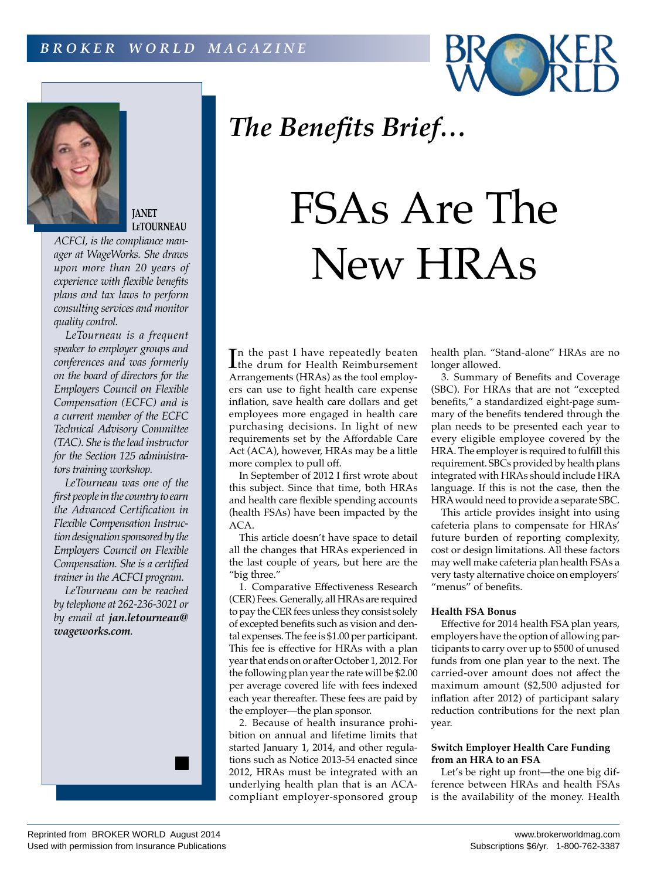



**JANET LeTOURNEAU**

*ACFCI, is the compliance manager at WageWorks. She draws upon more than 20 years of experience with flexible benefits plans and tax laws to perform consulting services and monitor quality control.*

*LeTourneau is a frequent speaker to employer groups and conferences and was formerly on the board of directors for the Employers Council on Flexible Compensation (ECFC) and is a current member of the ECFC Technical Advisory Committee (TAC). She is the lead instructor for the Section 125 administrators training workshop.*

*LeTourneau was one of the first people in the country to earn the Advanced Certification in Flexible Compensation Instruction designation sponsored by the Employers Council on Flexible Compensation. She is a certified trainer in the ACFCI program.*

*LeTourneau can be reached by telephone at 262-236-3021 or by email at jan.letourneau@ wageworks.com.*



of excepted benefits such as vision and dental expenses. The fee is \$1.00 per participant. This fee is effective for HRAs with a plan year that ends on or after October 1, 2012. For the following plan year the rate will be \$2.00 per average covered life with fees indexed each year thereafter. These fees are paid by the employer—the plan sponsor. 2. Because of health insurance prohi-

more complex to pull off.

bition on annual and lifetime limits that started January 1, 2014, and other regulations such as Notice 2013-54 enacted since 2012, HRAs must be integrated with an underlying health plan that is an ACAcompliant employer-sponsored group

In the past I have repeatedly beaten<br>the drum for Health Reimbursement the drum for Health Reimbursement Arrangements (HRAs) as the tool employers can use to fight health care expense inflation, save health care dollars and get employees more engaged in health care purchasing decisions. In light of new requirements set by the Affordable Care Act (ACA), however, HRAs may be a little

*The Benefits Brief…*

FSAs Are The

New HRAs

In September of 2012 I first wrote about this subject. Since that time, both HRAs and health care flexible spending accounts (health FSAs) have been impacted by the

health plan. "Stand-alone" HRAs are no longer allowed.

3. Summary of Benefits and Coverage (SBC). For HRAs that are not "excepted benefits," a standardized eight-page summary of the benefits tendered through the plan needs to be presented each year to every eligible employee covered by the HRA. The employer is required to fulfill this requirement. SBCs provided by health plans integrated with HRAs should include HRA language. If this is not the case, then the HRA would need to provide a separate SBC.

This article provides insight into using cafeteria plans to compensate for HRAs' future burden of reporting complexity, cost or design limitations. All these factors may well make cafeteria plan health FSAs a very tasty alternative choice on employers' "menus" of benefits.

## **Health FSA Bonus**

Effective for 2014 health FSA plan years, employers have the option of allowing participants to carry over up to \$500 of unused funds from one plan year to the next. The carried-over amount does not affect the maximum amount (\$2,500 adjusted for inflation after 2012) of participant salary reduction contributions for the next plan year.

## **Switch Employer Health Care Funding from an HRA to an FSA**

Let's be right up front—the one big difference between HRAs and health FSAs is the availability of the money. Health